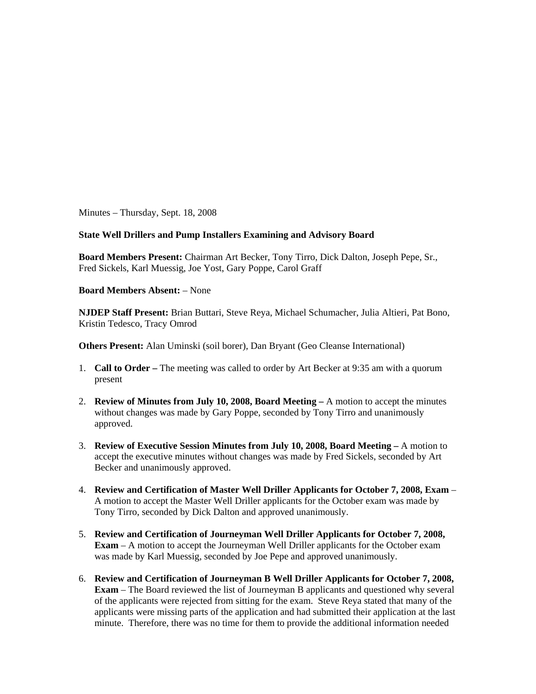Minutes – Thursday, Sept. 18, 2008

## **State Well Drillers and Pump Installers Examining and Advisory Board**

**Board Members Present:** Chairman Art Becker, Tony Tirro, Dick Dalton, Joseph Pepe, Sr., Fred Sickels, Karl Muessig, Joe Yost, Gary Poppe, Carol Graff

## **Board Members Absent:** – None

**NJDEP Staff Present:** Brian Buttari, Steve Reya, Michael Schumacher, Julia Altieri, Pat Bono, Kristin Tedesco, Tracy Omrod

**Others Present:** Alan Uminski (soil borer), Dan Bryant (Geo Cleanse International)

- 1. **Call to Order** The meeting was called to order by Art Becker at 9:35 am with a quorum present
- 2. **Review of Minutes from July 10, 2008, Board Meeting –** A motion to accept the minutes without changes was made by Gary Poppe, seconded by Tony Tirro and unanimously approved.
- 3. **Review of Executive Session Minutes from July 10, 2008, Board Meeting** A motion to accept the executive minutes without changes was made by Fred Sickels, seconded by Art Becker and unanimously approved.
- 4. **Review and Certification of Master Well Driller Applicants for October 7, 2008, Exam** A motion to accept the Master Well Driller applicants for the October exam was made by Tony Tirro, seconded by Dick Dalton and approved unanimously.
- 5. **Review and Certification of Journeyman Well Driller Applicants for October 7, 2008, Exam** – A motion to accept the Journeyman Well Driller applicants for the October exam was made by Karl Muessig, seconded by Joe Pepe and approved unanimously.
- 6. **Review and Certification of Journeyman B Well Driller Applicants for October 7, 2008, Exam** – The Board reviewed the list of Journeyman B applicants and questioned why several of the applicants were rejected from sitting for the exam. Steve Reya stated that many of the applicants were missing parts of the application and had submitted their application at the last minute. Therefore, there was no time for them to provide the additional information needed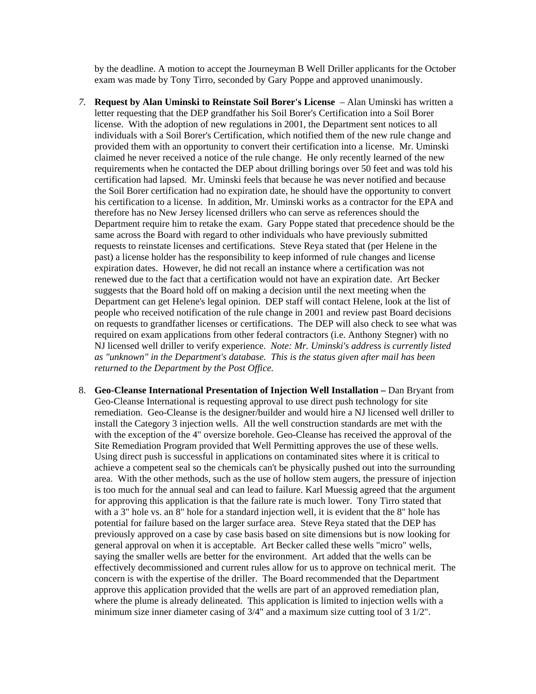by the deadline. A motion to accept the Journeyman B Well Driller applicants for the October exam was made by Tony Tirro, seconded by Gary Poppe and approved unanimously.

- *7.* **Request by Alan Uminski to Reinstate Soil Borer's License**  Alan Uminski has written a letter requesting that the DEP grandfather his Soil Borer's Certification into a Soil Borer license. With the adoption of new regulations in 2001, the Department sent notices to all individuals with a Soil Borer's Certification, which notified them of the new rule change and provided them with an opportunity to convert their certification into a license. Mr. Uminski claimed he never received a notice of the rule change. He only recently learned of the new requirements when he contacted the DEP about drilling borings over 50 feet and was told his certification had lapsed. Mr. Uminski feels that because he was never notified and because the Soil Borer certification had no expiration date, he should have the opportunity to convert his certification to a license. In addition, Mr. Uminski works as a contractor for the EPA and therefore has no New Jersey licensed drillers who can serve as references should the Department require him to retake the exam. Gary Poppe stated that precedence should be the same across the Board with regard to other individuals who have previously submitted requests to reinstate licenses and certifications. Steve Reya stated that (per Helene in the past) a license holder has the responsibility to keep informed of rule changes and license expiration dates. However, he did not recall an instance where a certification was not renewed due to the fact that a certification would not have an expiration date. Art Becker suggests that the Board hold off on making a decision until the next meeting when the Department can get Helene's legal opinion. DEP staff will contact Helene, look at the list of people who received notification of the rule change in 2001 and review past Board decisions on requests to grandfather licenses or certifications. The DEP will also check to see what was required on exam applications from other federal contractors (i.e. Anthony Stegner) with no NJ licensed well driller to verify experience. *Note: Mr. Uminski's address is currently listed as "unknown" in the Department's database. This is the status given after mail has been returned to the Department by the Post Office.*
- 8. **Geo-Cleanse International Presentation of Injection Well Installation** Dan Bryant from Geo-Cleanse International is requesting approval to use direct push technology for site remediation. Geo-Cleanse is the designer/builder and would hire a NJ licensed well driller to install the Category 3 injection wells. All the well construction standards are met with the with the exception of the 4" oversize borehole. Geo-Cleanse has received the approval of the Site Remediation Program provided that Well Permitting approves the use of these wells. Using direct push is successful in applications on contaminated sites where it is critical to achieve a competent seal so the chemicals can't be physically pushed out into the surrounding area. With the other methods, such as the use of hollow stem augers, the pressure of injection is too much for the annual seal and can lead to failure. Karl Muessig agreed that the argument for approving this application is that the failure rate is much lower. Tony Tirro stated that with a 3" hole vs. an 8" hole for a standard injection well, it is evident that the 8" hole has potential for failure based on the larger surface area. Steve Reya stated that the DEP has previously approved on a case by case basis based on site dimensions but is now looking for general approval on when it is acceptable. Art Becker called these wells "micro" wells, saying the smaller wells are better for the environment. Art added that the wells can be effectively decommissioned and current rules allow for us to approve on technical merit. The concern is with the expertise of the driller. The Board recommended that the Department approve this application provided that the wells are part of an approved remediation plan, where the plume is already delineated. This application is limited to injection wells with a minimum size inner diameter casing of 3/4" and a maximum size cutting tool of 3 1/2".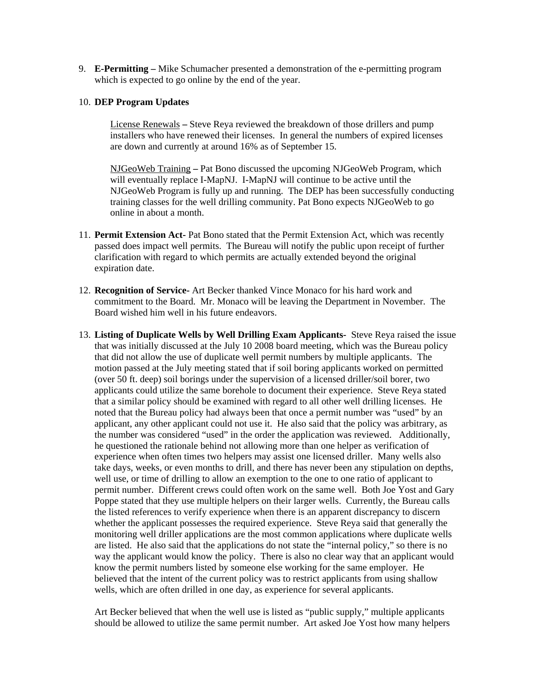9. **E-Permitting –** Mike Schumacher presented a demonstration of the e-permitting program which is expected to go online by the end of the year.

## 10. **DEP Program Updates**

License Renewals **–** Steve Reya reviewed the breakdown of those drillers and pump installers who have renewed their licenses. In general the numbers of expired licenses are down and currently at around 16% as of September 15.

NJGeoWeb Training **–** Pat Bono discussed the upcoming NJGeoWeb Program, which will eventually replace I-MapNJ. I-MapNJ will continue to be active until the NJGeoWeb Program is fully up and running. The DEP has been successfully conducting training classes for the well drilling community. Pat Bono expects NJGeoWeb to go online in about a month.

- 11. **Permit Extension Act-** Pat Bono stated that the Permit Extension Act, which was recently passed does impact well permits. The Bureau will notify the public upon receipt of further clarification with regard to which permits are actually extended beyond the original expiration date.
- 12. **Recognition of Service-** Art Becker thanked Vince Monaco for his hard work and commitment to the Board. Mr. Monaco will be leaving the Department in November. The Board wished him well in his future endeavors.
- 13. **Listing of Duplicate Wells by Well Drilling Exam Applicants-** Steve Reya raised the issue that was initially discussed at the July 10 2008 board meeting, which was the Bureau policy that did not allow the use of duplicate well permit numbers by multiple applicants. The motion passed at the July meeting stated that if soil boring applicants worked on permitted (over 50 ft. deep) soil borings under the supervision of a licensed driller/soil borer, two applicants could utilize the same borehole to document their experience. Steve Reya stated that a similar policy should be examined with regard to all other well drilling licenses. He noted that the Bureau policy had always been that once a permit number was "used" by an applicant, any other applicant could not use it. He also said that the policy was arbitrary, as the number was considered "used" in the order the application was reviewed. Additionally, he questioned the rationale behind not allowing more than one helper as verification of experience when often times two helpers may assist one licensed driller. Many wells also take days, weeks, or even months to drill, and there has never been any stipulation on depths, well use, or time of drilling to allow an exemption to the one to one ratio of applicant to permit number. Different crews could often work on the same well. Both Joe Yost and Gary Poppe stated that they use multiple helpers on their larger wells. Currently, the Bureau calls the listed references to verify experience when there is an apparent discrepancy to discern whether the applicant possesses the required experience. Steve Reya said that generally the monitoring well driller applications are the most common applications where duplicate wells are listed. He also said that the applications do not state the "internal policy," so there is no way the applicant would know the policy. There is also no clear way that an applicant would know the permit numbers listed by someone else working for the same employer. He believed that the intent of the current policy was to restrict applicants from using shallow wells, which are often drilled in one day, as experience for several applicants.

Art Becker believed that when the well use is listed as "public supply," multiple applicants should be allowed to utilize the same permit number. Art asked Joe Yost how many helpers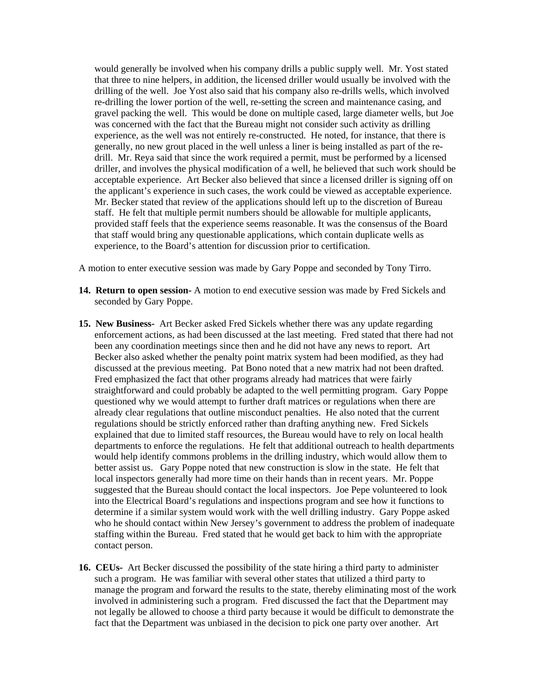would generally be involved when his company drills a public supply well. Mr. Yost stated that three to nine helpers, in addition, the licensed driller would usually be involved with the drilling of the well. Joe Yost also said that his company also re-drills wells, which involved re-drilling the lower portion of the well, re-setting the screen and maintenance casing, and gravel packing the well. This would be done on multiple cased, large diameter wells, but Joe was concerned with the fact that the Bureau might not consider such activity as drilling experience, as the well was not entirely re-constructed. He noted, for instance, that there is generally, no new grout placed in the well unless a liner is being installed as part of the redrill. Mr. Reya said that since the work required a permit, must be performed by a licensed driller, and involves the physical modification of a well, he believed that such work should be acceptable experience. Art Becker also believed that since a licensed driller is signing off on the applicant's experience in such cases, the work could be viewed as acceptable experience. Mr. Becker stated that review of the applications should left up to the discretion of Bureau staff. He felt that multiple permit numbers should be allowable for multiple applicants, provided staff feels that the experience seems reasonable. It was the consensus of the Board that staff would bring any questionable applications, which contain duplicate wells as experience, to the Board's attention for discussion prior to certification.

A motion to enter executive session was made by Gary Poppe and seconded by Tony Tirro.

- **14. Return to open session-** A motion to end executive session was made by Fred Sickels and seconded by Gary Poppe.
- **15. New Business-** Art Becker asked Fred Sickels whether there was any update regarding enforcement actions, as had been discussed at the last meeting. Fred stated that there had not been any coordination meetings since then and he did not have any news to report. Art Becker also asked whether the penalty point matrix system had been modified, as they had discussed at the previous meeting. Pat Bono noted that a new matrix had not been drafted. Fred emphasized the fact that other programs already had matrices that were fairly straightforward and could probably be adapted to the well permitting program. Gary Poppe questioned why we would attempt to further draft matrices or regulations when there are already clear regulations that outline misconduct penalties. He also noted that the current regulations should be strictly enforced rather than drafting anything new. Fred Sickels explained that due to limited staff resources, the Bureau would have to rely on local health departments to enforce the regulations. He felt that additional outreach to health departments would help identify commons problems in the drilling industry, which would allow them to better assist us. Gary Poppe noted that new construction is slow in the state. He felt that local inspectors generally had more time on their hands than in recent years. Mr. Poppe suggested that the Bureau should contact the local inspectors. Joe Pepe volunteered to look into the Electrical Board's regulations and inspections program and see how it functions to determine if a similar system would work with the well drilling industry. Gary Poppe asked who he should contact within New Jersey's government to address the problem of inadequate staffing within the Bureau. Fred stated that he would get back to him with the appropriate contact person.
- **16. CEUs-** Art Becker discussed the possibility of the state hiring a third party to administer such a program. He was familiar with several other states that utilized a third party to manage the program and forward the results to the state, thereby eliminating most of the work involved in administering such a program. Fred discussed the fact that the Department may not legally be allowed to choose a third party because it would be difficult to demonstrate the fact that the Department was unbiased in the decision to pick one party over another. Art